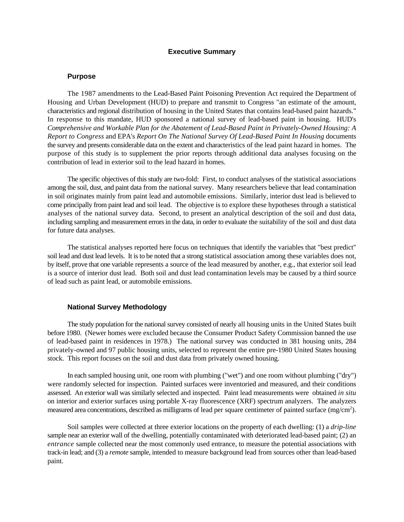#### **Executive Summary**

### **Purpose**

The 1987 amendments to the Lead-Based Paint Poisoning Prevention Act required the Department of Housing and Urban Development (HUD) to prepare and transmit to Congress "an estimate of the amount, characteristics and regional distribution of housing in the United States that contains lead-based paint hazards." In response to this mandate, HUD sponsored a national survey of lead-based paint in housing. HUD's *Comprehensive and Workable Plan for the Abatement of Lead-Based Paint in Privately-Owned Housing: A Report to Congress* and EPA's *Report On The National Survey Of Lead-Based Paint In Housing* documents the survey and presents considerable data on the extent and characteristics of the lead paint hazard in homes. The purpose of this study is to supplement the prior reports through additional data analyses focusing on the contribution of lead in exterior soil to the lead hazard in homes.

The specific objectives of this study are two-fold: First, to conduct analyses of the statistical associations among the soil, dust, and paint data from the national survey. Many researchers believe that lead contamination in soil originates mainly from paint lead and automobile emissions. Similarly, interior dust lead is believed to come principally from paint lead and soil lead. The objective is to explore these hypotheses through a statistical analyses of the national survey data. Second, to present an analytical description of the soil and dust data, including sampling and measurement errors in the data, in order to evaluate the suitability of the soil and dust data for future data analyses.

The statistical analyses reported here focus on techniques that identify the variables that "best predict" soil lead and dust lead levels. It is to be noted that a strong statistical association among these variables does not, by itself, prove that one variable represents a source of the lead measured by another, e.g., that exterior soil lead is a source of interior dust lead. Both soil and dust lead contamination levels may be caused by a third source of lead such as paint lead, or automobile emissions.

## **National Survey Methodology**

The study population for the national survey consisted of nearly all housing units in the United States built before 1980. (Newer homes were excluded because the Consumer Product Safety Commission banned the use of lead-based paint in residences in 1978.) The national survey was conducted in 381 housing units, 284 privately-owned and 97 public housing units, selected to represent the entire pre-1980 United States housing stock. This report focuses on the soil and dust data from privately owned housing.

In each sampled housing unit, one room with plumbing ("wet") and one room without plumbing ("dry") were randomly selected for inspection. Painted surfaces were inventoried and measured, and their conditions assessed. An exterior wall was similarly selected and inspected. Paint lead measurements were obtained *in situ* on interior and exterior surfaces using portable X-ray fluorescence (XRF) spectrum analyzers. The analyzers measured area concentrations, described as milligrams of lead per square centimeter of painted surface (mg/cm<sup>2</sup>).

Soil samples were collected at three exterior locations on the property of each dwelling: (1) a *drip-line* sample near an exterior wall of the dwelling, potentially contaminated with deteriorated lead-based paint; (2) an *entrance* sample collected near the most commonly used entrance, to measure the potential associations with track-in lead; and (3) a *remote* sample, intended to measure background lead from sources other than lead-based paint.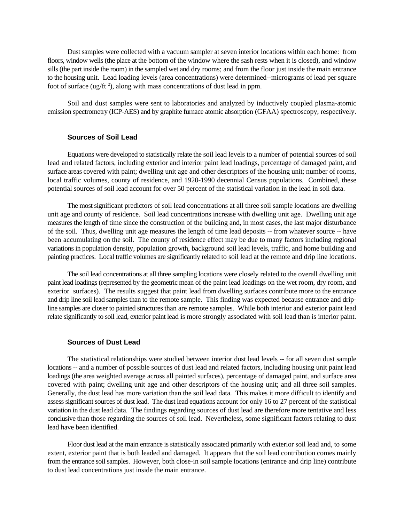Dust samples were collected with a vacuum sampler at seven interior locations within each home: from floors, window wells (the place at the bottom of the window where the sash rests when it is closed), and window sills (the part inside the room) in the sampled wet and dry rooms; and from the floor just inside the main entrance to the housing unit. Lead loading levels (area concentrations) were determined--micrograms of lead per square foot of surface (ug/ft  $^2$ ), along with mass concentrations of dust lead in ppm.

Soil and dust samples were sent to laboratories and analyzed by inductively coupled plasma-atomic emission spectrometry (ICP-AES) and by graphite furnace atomic absorption (GFAA) spectroscopy, respectively.

# **Sources of Soil Lead**

Equations were developed to statistically relate the soil lead levels to a number of potential sources of soil lead and related factors, including exterior and interior paint lead loadings, percentage of damaged paint, and surface areas covered with paint; dwelling unit age and other descriptors of the housing unit; number of rooms, local traffic volumes, county of residence, and 1920-1990 decennial Census populations. Combined, these potential sources of soil lead account for over 50 percent of the statistical variation in the lead in soil data.

The most significant predictors of soil lead concentrations at all three soil sample locations are dwelling unit age and county of residence. Soil lead concentrations increase with dwelling unit age. Dwelling unit age measures the length of time since the construction of the building and, in most cases, the last major disturbance of the soil. Thus, dwelling unit age measures the length of time lead deposits -- from whatever source -- have been accumulating on the soil. The county of residence effect may be due to many factors including regional variations in population density, population growth, background soil lead levels, traffic, and home building and painting practices. Local traffic volumes are significantly related to soil lead at the remote and drip line locations.

The soil lead concentrations at all three sampling locations were closely related to the overall dwelling unit paint lead loadings (represented by the geometric mean of the paint lead loadings on the wet room, dry room, and exterior surfaces). The results suggest that paint lead from dwelling surfaces contribute more to the entrance and drip line soil lead samples than to the remote sample. This finding was expected because entrance and dripline samples are closer to painted structures than are remote samples. While both interior and exterior paint lead relate significantly to soil lead, exterior paint lead is more strongly associated with soil lead than is interior paint.

## **Sources of Dust Lead**

The statistical relationships were studied between interior dust lead levels -- for all seven dust sample locations -- and a number of possible sources of dust lead and related factors, including housing unit paint lead loadings (the area weighted average across all painted surfaces), percentage of damaged paint, and surface area covered with paint; dwelling unit age and other descriptors of the housing unit; and all three soil samples. Generally, the dust lead has more variation than the soil lead data. This makes it more difficult to identify and assess significant sources of dust lead. The dust lead equations account for only 16 to 27 percent of the statistical variation in the dust lead data. The findings regarding sources of dust lead are therefore more tentative and less conclusive than those regarding the sources of soil lead. Nevertheless, some significant factors relating to dust lead have been identified.

Floor dust lead at the main entrance is statistically associated primarily with exterior soil lead and, to some extent, exterior paint that is both leaded and damaged. It appears that the soil lead contribution comes mainly from the entrance soil samples. However, both close-in soil sample locations (entrance and drip line) contribute to dust lead concentrations just inside the main entrance.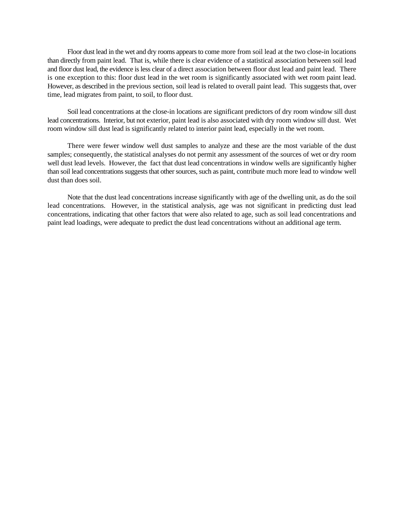Floor dust lead in the wet and dry rooms appears to come more from soil lead at the two close-in locations than directly from paint lead. That is, while there is clear evidence of a statistical association between soil lead and floor dust lead, the evidence is less clear of a direct association between floor dust lead and paint lead. There is one exception to this: floor dust lead in the wet room is significantly associated with wet room paint lead. However, as described in the previous section, soil lead is related to overall paint lead. This suggests that, over time, lead migrates from paint, to soil, to floor dust.

Soil lead concentrations at the close-in locations are significant predictors of dry room window sill dust lead concentrations. Interior, but not exterior, paint lead is also associated with dry room window sill dust. Wet room window sill dust lead is significantly related to interior paint lead, especially in the wet room.

There were fewer window well dust samples to analyze and these are the most variable of the dust samples; consequently, the statistical analyses do not permit any assessment of the sources of wet or dry room well dust lead levels. However, the fact that dust lead concentrations in window wells are significantly higher than soil lead concentrations suggests that other sources, such as paint, contribute much more lead to window well dust than does soil.

Note that the dust lead concentrations increase significantly with age of the dwelling unit, as do the soil lead concentrations. However, in the statistical analysis, age was not significant in predicting dust lead concentrations, indicating that other factors that were also related to age, such as soil lead concentrations and paint lead loadings, were adequate to predict the dust lead concentrations without an additional age term.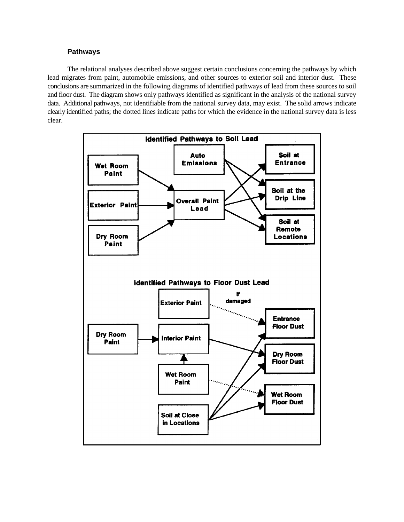## **Pathways**

The relational analyses described above suggest certain conclusions concerning the pathways by which lead migrates from paint, automobile emissions, and other sources to exterior soil and interior dust. These conclusions are summarized in the following diagrams of identified pathways of lead from these sources to soil and floor dust. The diagram shows only pathways identified as significant in the analysis of the national survey data. Additional pathways, not identifiable from the national survey data, may exist. The solid arrows indicate clearly identified paths; the dotted lines indicate paths for which the evidence in the national survey data is less clear.

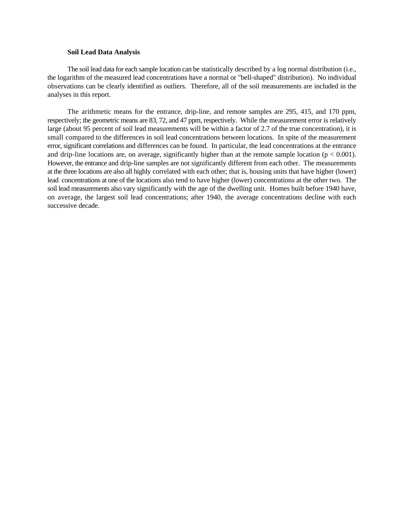### **Soil Lead Data Analysis**

The soil lead data for each sample location can be statistically described by a log normal distribution (i.e., the logarithm of the measured lead concentrations have a normal or "bell-shaped" distribution). No individual observations can be clearly identified as outliers. Therefore, all of the soil measurements are included in the analyses in this report.

The arithmetic means for the entrance, drip-line, and remote samples are 295, 415, and 170 ppm, respectively; the geometric means are 83, 72, and 47 ppm, respectively. While the measurement error is relatively large (about 95 percent of soil lead measurements will be within a factor of 2.7 of the true concentration), it is small compared to the differences in soil lead concentrations between locations. In spite of the measurement error, significant correlations and differences can be found. In particular, the lead concentrations at the entrance and drip-line locations are, on average, significantly higher than at the remote sample location ( $p < 0.001$ ). However, the entrance and drip-line samples are not significantly different from each other. The measurements at the three locations are also all highly correlated with each other; that is, housing units that have higher (lower) lead concentrations at one of the locations also tend to have higher (lower) concentrations at the other two. The soil lead measurements also vary significantly with the age of the dwelling unit. Homes built before 1940 have, on average, the largest soil lead concentrations; after 1940, the average concentrations decline with each successive decade.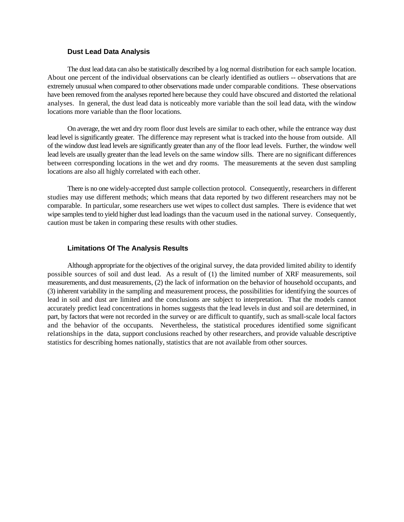### **Dust Lead Data Analysis**

The dust lead data can also be statistically described by a log normal distribution for each sample location. About one percent of the individual observations can be clearly identified as outliers -- observations that are extremely unusual when compared to other observations made under comparable conditions. These observations have been removed from the analyses reported here because they could have obscured and distorted the relational analyses. In general, the dust lead data is noticeably more variable than the soil lead data, with the window locations more variable than the floor locations.

On average, the wet and dry room floor dust levels are similar to each other, while the entrance way dust lead level is significantly greater. The difference may represent what is tracked into the house from outside. All of the window dust lead levels are significantly greater than any of the floor lead levels. Further, the window well lead levels are usually greater than the lead levels on the same window sills. There are no significant differences between corresponding locations in the wet and dry rooms. The measurements at the seven dust sampling locations are also all highly correlated with each other.

There is no one widely-accepted dust sample collection protocol. Consequently, researchers in different studies may use different methods; which means that data reported by two different researchers may not be comparable. In particular, some researchers use wet wipes to collect dust samples. There is evidence that wet wipe samples tend to yield higher dust lead loadings than the vacuum used in the national survey. Consequently, caution must be taken in comparing these results with other studies.

## **Limitations Of The Analysis Results**

Although appropriate for the objectives of the original survey, the data provided limited ability to identify possible sources of soil and dust lead. As a result of (1) the limited number of XRF measurements, soil measurements, and dust measurements, (2) the lack of information on the behavior of household occupants, and (3) inherent variability in the sampling and measurement process, the possibilities for identifying the sources of lead in soil and dust are limited and the conclusions are subject to interpretation. That the models cannot accurately predict lead concentrations in homes suggests that the lead levels in dust and soil are determined, in part, by factors that were not recorded in the survey or are difficult to quantify, such as small-scale local factors and the behavior of the occupants. Nevertheless, the statistical procedures identified some significant relationships in the data, support conclusions reached by other researchers, and provide valuable descriptive statistics for describing homes nationally, statistics that are not available from other sources.